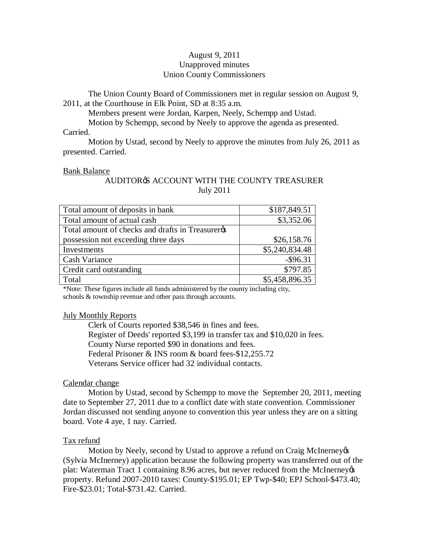# August 9, 2011 Unapproved minutes Union County Commissioners

The Union County Board of Commissioners met in regular session on August 9, 2011, at the Courthouse in Elk Point, SD at 8:35 a.m.

Members present were Jordan, Karpen, Neely, Schempp and Ustad.

Motion by Schempp, second by Neely to approve the agenda as presented.

### Carried.

Motion by Ustad, second by Neely to approve the minutes from July 26, 2011 as presented. Carried.

### Bank Balance

### AUDITOR **S** ACCOUNT WITH THE COUNTY TREASURER July 2011

| Total amount of deposits in bank               | \$187,849.51   |
|------------------------------------------------|----------------|
| Total amount of actual cash                    | \$3,352.06     |
| Total amount of checks and drafts in Treasurer |                |
| possession not exceeding three days            | \$26,158.76    |
| Investments                                    | \$5,240,834.48 |
| <b>Cash Variance</b>                           | $-$ \$96.31    |
| Credit card outstanding                        | \$797.85       |
| Total                                          | \$5,458,896.35 |

\*Note: These figures include all funds administered by the county including city, schools & township revenue and other pass through accounts.

### July Monthly Reports

Clerk of Courts reported \$38,546 in fines and fees. Register of Deeds' reported \$3,199 in transfer tax and \$10,020 in fees. County Nurse reported \$90 in donations and fees. Federal Prisoner & INS room & board fees-\$12,255.72 Veterans Service officer had 32 individual contacts.

### Calendar change

Motion by Ustad, second by Schempp to move the September 20, 2011, meeting date to September 27, 2011 due to a conflict date with state convention. Commissioner Jordan discussed not sending anyone to convention this year unless they are on a sitting board. Vote 4 aye, 1 nay. Carried.

### Tax refund

Motion by Neely, second by Ustad to approve a refund on Craig McInerney (Sylvia McInerney) application because the following property was transferred out of the plat: Waterman Tract 1 containing 8.96 acres, but never reduced from the McInerney property. Refund 2007-2010 taxes: County-\$195.01; EP Twp-\$40; EPJ School-\$473.40; Fire-\$23.01; Total-\$731.42. Carried.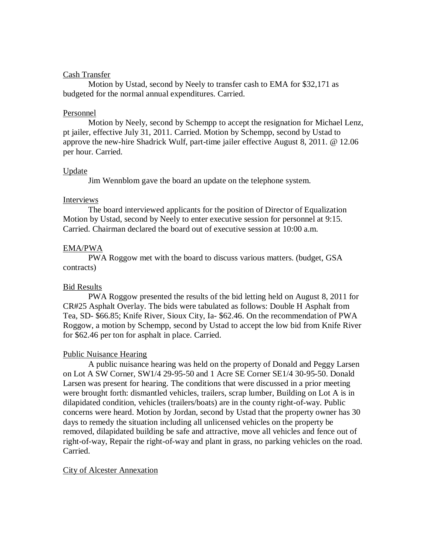### Cash Transfer

Motion by Ustad, second by Neely to transfer cash to EMA for \$32,171 as budgeted for the normal annual expenditures. Carried.

### Personnel

Motion by Neely, second by Schempp to accept the resignation for Michael Lenz, pt jailer, effective July 31, 2011. Carried. Motion by Schempp, second by Ustad to approve the new-hire Shadrick Wulf, part-time jailer effective August 8, 2011. @ 12.06 per hour. Carried.

# Update

Jim Wennblom gave the board an update on the telephone system.

### Interviews

The board interviewed applicants for the position of Director of Equalization Motion by Ustad, second by Neely to enter executive session for personnel at 9:15. Carried. Chairman declared the board out of executive session at 10:00 a.m.

# EMA/PWA

PWA Roggow met with the board to discuss various matters. (budget, GSA contracts)

# Bid Results

PWA Roggow presented the results of the bid letting held on August 8, 2011 for CR#25 Asphalt Overlay. The bids were tabulated as follows: Double H Asphalt from Tea, SD- \$66.85; Knife River, Sioux City, Ia- \$62.46. On the recommendation of PWA Roggow, a motion by Schempp, second by Ustad to accept the low bid from Knife River for \$62.46 per ton for asphalt in place. Carried.

# Public Nuisance Hearing

A public nuisance hearing was held on the property of Donald and Peggy Larsen on Lot A SW Corner, SW1/4 29-95-50 and 1 Acre SE Corner SE1/4 30-95-50. Donald Larsen was present for hearing. The conditions that were discussed in a prior meeting were brought forth: dismantled vehicles, trailers, scrap lumber, Building on Lot A is in dilapidated condition, vehicles (trailers/boats) are in the county right-of-way. Public concerns were heard. Motion by Jordan, second by Ustad that the property owner has 30 days to remedy the situation including all unlicensed vehicles on the property be removed, dilapidated building be safe and attractive, move all vehicles and fence out of right-of-way, Repair the right-of-way and plant in grass, no parking vehicles on the road. Carried.

# City of Alcester Annexation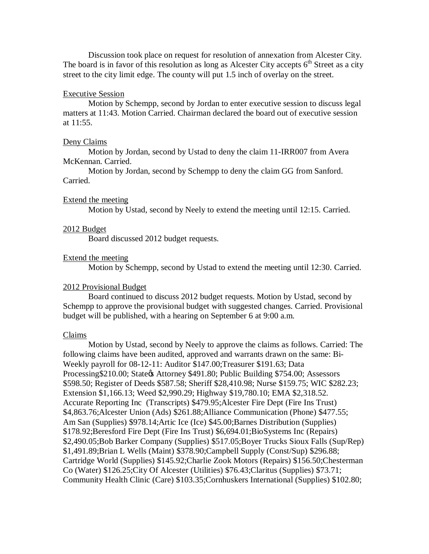Discussion took place on request for resolution of annexation from Alcester City. The board is in favor of this resolution as long as Alcester City accepts  $6<sup>th</sup>$  Street as a city street to the city limit edge. The county will put 1.5 inch of overlay on the street.

### Executive Session

Motion by Schempp, second by Jordan to enter executive session to discuss legal matters at 11:43. Motion Carried. Chairman declared the board out of executive session at 11:55.

### Deny Claims

Motion by Jordan, second by Ustad to deny the claim 11-IRR007 from Avera McKennan. Carried.

Motion by Jordan, second by Schempp to deny the claim GG from Sanford. Carried.

### Extend the meeting

Motion by Ustad, second by Neely to extend the meeting until 12:15. Carried.

#### 2012 Budget

Board discussed 2012 budget requests.

#### Extend the meeting

Motion by Schempp, second by Ustad to extend the meeting until 12:30. Carried.

#### 2012 Provisional Budget

Board continued to discuss 2012 budget requests. Motion by Ustad, second by Schempp to approve the provisional budget with suggested changes. Carried. Provisional budget will be published, with a hearing on September 6 at 9:00 a.m.

#### Claims

Motion by Ustad, second by Neely to approve the claims as follows. Carried: The following claims have been audited, approved and warrants drawn on the same: Bi-Weekly payroll for 08-12-11: Auditor \$147.00;Treasurer \$191.63; Data Processing \$210.00; State & Attorney \$491.80; Public Building \$754.00; Assessors \$598.50; Register of Deeds \$587.58; Sheriff \$28,410.98; Nurse \$159.75; WIC \$282.23; Extension \$1,166.13; Weed \$2,990.29; Highway \$19,780.10; EMA \$2,318.52. Accurate Reporting Inc (Transcripts) \$479.95;Alcester Fire Dept (Fire Ins Trust) \$4,863.76;Alcester Union (Ads) \$261.88;Alliance Communication (Phone) \$477.55; Am San (Supplies) \$978.14;Artic Ice (Ice) \$45.00;Barnes Distribution (Supplies) \$178.92;Beresford Fire Dept (Fire Ins Trust) \$6,694.01;BioSystems Inc (Repairs) \$2,490.05;Bob Barker Company (Supplies) \$517.05;Boyer Trucks Sioux Falls (Sup/Rep) \$1,491.89;Brian L Wells (Maint) \$378.90;Campbell Supply (Const/Sup) \$296.88; Cartridge World (Supplies) \$145.92;Charlie Zook Motors (Repairs) \$156.50;Chesterman Co (Water) \$126.25;City Of Alcester (Utilities) \$76.43;Claritus (Supplies) \$73.71; Community Health Clinic (Care) \$103.35;Cornhuskers International (Supplies) \$102.80;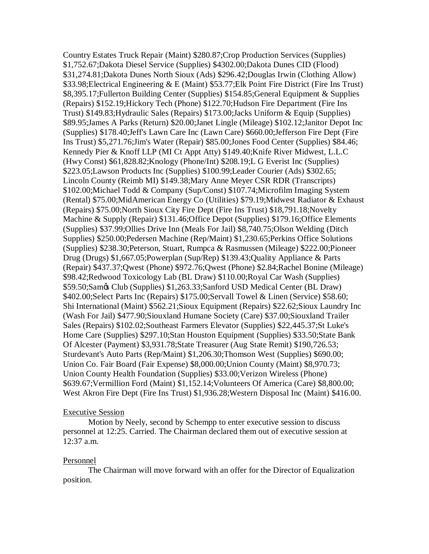Country Estates Truck Repair (Maint) \$280.87;Crop Production Services (Supplies) \$1,752.67;Dakota Diesel Service (Supplies) \$4302.00;Dakota Dunes CID (Flood) \$31,274.81;Dakota Dunes North Sioux (Ads) \$296.42;Douglas Irwin (Clothing Allow) \$33.98;Electrical Engineering & E (Maint) \$53.77;Elk Point Fire District (Fire Ins Trust) \$8,395.17;Fullerton Building Center (Supplies) \$154.85;General Equipment & Supplies (Repairs) \$152.19;Hickory Tech (Phone) \$122.70;Hudson Fire Department (Fire Ins Trust) \$149.83;Hydraulic Sales (Repairs) \$173.00;Jacks Uniform & Equip (Supplies) \$89.95;James A Parks (Return) \$20.00;Janet Lingle (Mileage) \$102.12;Janitor Depot Inc (Supplies) \$178.40;Jeff's Lawn Care Inc (Lawn Care) \$660.00;Jefferson Fire Dept (Fire Ins Trust) \$5,271.76;Jim's Water (Repair) \$85.00;Jones Food Center (Supplies) \$84.46; Kennedy Pier & Knoff LLP (MI Ct Appt Atty) \$149.40;Knife River Midwest, L.L.C (Hwy Const) \$61,828.82;Knology (Phone/Int) \$208.19;L G Everist Inc (Supplies) \$223.05;Lawson Products Inc (Supplies) \$100.99;Leader Courier (Ads) \$302.65; Lincoln County (Reimb MI) \$149.38;Mary Anne Meyer CSR RDR (Transcripts) \$102.00;Michael Todd & Company (Sup/Const) \$107.74;Microfilm Imaging System (Rental) \$75.00;MidAmerican Energy Co (Utilities) \$79.19;Midwest Radiator & Exhaust (Repairs) \$75.00;North Sioux City Fire Dept (Fire Ins Trust) \$18,791.18;Novelty Machine & Supply (Repair) \$131.46;Office Depot (Supplies) \$179.16;Office Elements (Supplies) \$37.99;Ollies Drive Inn (Meals For Jail) \$8,740.75;Olson Welding (Ditch Supplies) \$250.00;Pedersen Machine (Rep/Maint) \$1,230.65;Perkins Office Solutions (Supplies) \$238.30;Peterson, Stuart, Rumpca & Rasmussen (Mileage) \$222.00;Pioneer Drug (Drugs) \$1,667.05;Powerplan (Sup/Rep) \$139.43;Quality Appliance & Parts (Repair) \$437.37;Qwest (Phone) \$972.76;Qwest (Phone) \$2.84;Rachel Bonine (Mileage) \$98.42;Redwood Toxicology Lab (BL Draw) \$110.00;Royal Car Wash (Supplies) \$59.50;Sam& Club (Supplies) \$1,263.33;Sanford USD Medical Center (BL Draw) \$402.00;Select Parts Inc (Repairs) \$175.00;Servall Towel & Linen (Service) \$58.60; Shi International (Maint) \$562.21;Sioux Equipment (Repairs) \$22.62;Sioux Laundry Inc (Wash For Jail) \$477.90;Siouxland Humane Society (Care) \$37.00;Siouxland Trailer Sales (Repairs) \$102.02;Southeast Farmers Elevator (Supplies) \$22,445.37;St Luke's Home Care (Supplies) \$297.10;Stan Houston Equipment (Supplies) \$33.50;State Bank Of Alcester (Payment) \$3,931.78;State Treasurer (Aug State Remit) \$190,726.53; Sturdevant's Auto Parts (Rep/Maint) \$1,206.30;Thomson West (Supplies) \$690.00; Union Co. Fair Board (Fair Expense) \$8,000.00;Union County (Maint) \$8,970.73; Union County Health Foundation (Supplies) \$33.00;Verizon Wireless (Phone) \$639.67;Vermillion Ford (Maint) \$1,152.14;Volunteers Of America (Care) \$8,800.00; West Akron Fire Dept (Fire Ins Trust) \$1,936.28;Western Disposal Inc (Maint) \$416.00.

### Executive Session

Motion by Neely, second by Schempp to enter executive session to discuss personnel at 12:25. Carried. The Chairman declared them out of executive session at 12:37 a.m.

#### Personnel

The Chairman will move forward with an offer for the Director of Equalization position.